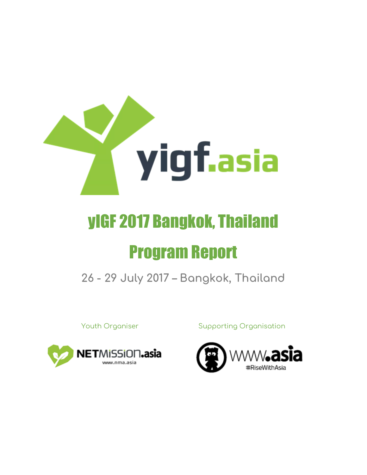

# yIGF 2017 Bangkok, Thailand Program Report

**26 - 29 July 2017 – Bangkok, Thailand**



Youth Organiser **Supporting Organisation** 

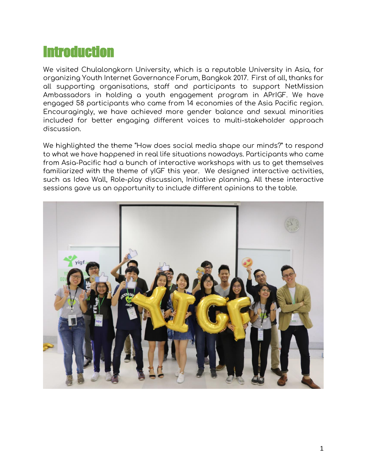### **Introduction**

We visited Chulalongkorn University, which is a reputable University in Asia, for organizing Youth Internet Governance Forum, Bangkok 2017. First of all, thanks for all supporting organisations, staff and participants to support NetMission Ambassadors in holding a youth engagement program in APrIGF. We have engaged 58 participants who came from 14 economies of the Asia Pacific region. Encouragingly, we have achieved more gender balance and sexual minorities included for better engaging different voices to multi-stakeholder approach discussion.

We highlighted the theme "How does social media shape our minds?" to respond to what we have happened in real life situations nowadays. Participants who came from Asia-Pacific had a bunch of interactive workshops with us to get themselves familiarized with the theme of yIGF this year. We designed interactive activities, such as Idea Wall, Role-play discussion, Initiative planning. All these interactive sessions gave us an opportunity to include different opinions to the table.

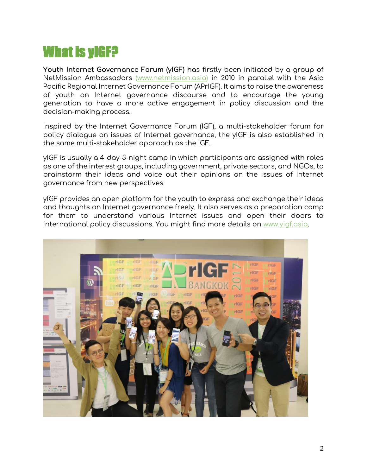## What is yIGF?

**Youth Internet Governance Forum (yIGF)** has firstly been initiated by a group of NetMission Ambassadors [\(www.netmission.asia\)](http://www.netmission.asia/) in 2010 in parallel with the Asia Pacific Regional Internet Governance Forum (APrIGF). It aims to raise the awareness of youth on Internet governance discourse and to encourage the young generation to have a more active engagement in policy discussion and the decision-making process.

Inspired by the Internet Governance Forum (IGF), a multi-stakeholder forum for policy dialogue on issues of Internet governance, the yIGF is also established in the same multi-stakeholder approach as the IGF.

yIGF is usually a 4-day-3-night camp in which participants are assigned with roles as one of the interest groups, including government, private sectors, and NGOs, to brainstorm their ideas and voice out their opinions on the issues of Internet governance from new perspectives.

yIGF provides an open platform for the youth to express and exchange their ideas and thoughts on Internet governance freely. It also serves as a preparation camp for them to understand various Internet issues and open their doors to international policy discussions. You might find more details on [www.yigf.asia.](http://www.yigf.asia/)

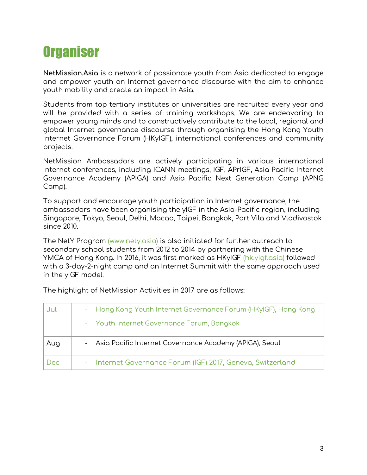## **Organiser**

**NetMission.Asia** is a network of passionate youth from Asia dedicated to engage and empower youth on Internet governance discourse with the aim to enhance youth mobility and create an impact in Asia.

Students from top tertiary institutes or universities are recruited every year and will be provided with a series of training workshops. We are endeavoring to empower young minds and to constructively contribute to the local, regional and global Internet governance discourse through organising the Hong Kong Youth Internet Governance Forum (HKyIGF), international conferences and community projects.

NetMission Ambassadors are actively participating in various international Internet conferences, including ICANN meetings, IGF, APrIGF, Asia Pacific Internet Governance Academy (APIGA) and Asia Pacific Next Generation Camp (APNG Camp).

To support and encourage youth participation in Internet governance, the ambassadors have been organising the yIGF in the Asia-Pacific region, including Singapore, Tokyo, Seoul, Delhi, Macao, Taipei, Bangkok, Port Vila and Vladivostok since 2010.

The NetY Program [\(www.nety.asia\)](http://www.nety.asia/) is also initiated for further outreach to secondary school students from 2012 to 2014 by partnering with the Chinese YMCA of Hong Kong. In 2016, it was first marked as HKyIGF [\(hk.yigf.asia\)](http://hk.yigf.asia/) followed with a 3-day-2-night camp and an Internet Summit with the same approach used in the yIGF model.

| Jul | - Hong Kong Youth Internet Governance Forum (HKyIGF), Hong Kong |
|-----|-----------------------------------------------------------------|
|     | - Youth Internet Governance Forum, Bangkok                      |
| Aug | - Asia Pacific Internet Governance Academy (APIGA), Seoul       |
| Dec | - Internet Governance Forum (IGF) 2017, Geneva, Switzerland     |

The highlight of NetMission Activities in 2017 are as follows: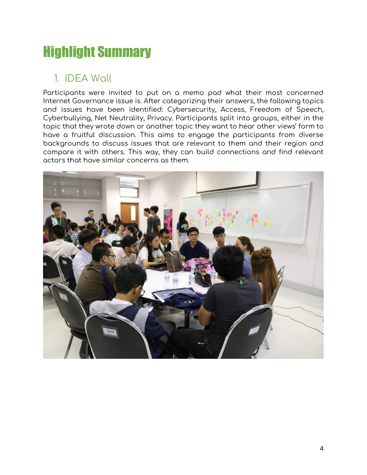## Highlight Summary

#### 1. IDEA Wall

Participants were invited to put on a memo pad what their most concerned Internet Governance issue is. After categorizing their answers, the following topics and issues have been identified: Cybersecurity, Access, Freedom of Speech, Cyberbullying, Net Neutrality, Privacy. Participants split into groups, either in the topic that they wrote down or another topic they want to hear other views' form to have a fruitful discussion. This aims to engage the participants from diverse backgrounds to discuss issues that are relevant to them and their region and compare it with others. This way, they can build connections and find relevant actors that have similar concerns as them.

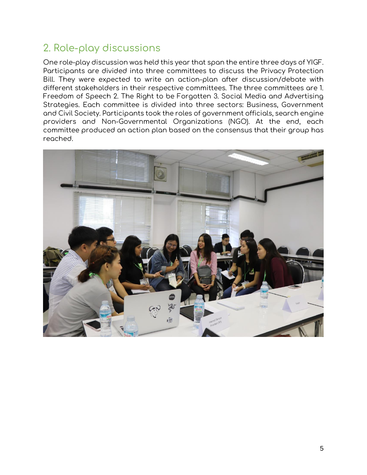#### 2. Role-play discussions

One role-play discussion was held this year that span the entire three days of YIGF. Participants are divided into three committees to discuss the Privacy Protection Bill. They were expected to write an action-plan after discussion/debate with different stakeholders in their respective committees. The three committees are 1. Freedom of Speech 2. The Right to be Forgotten 3. Social Media and Advertising Strategies. Each committee is divided into three sectors: Business, Government and Civil Society. Participants took the roles of government officials, search engine providers and Non-Governmental Organizations (NGO). At the end, each committee produced an action plan based on the consensus that their group has reached.

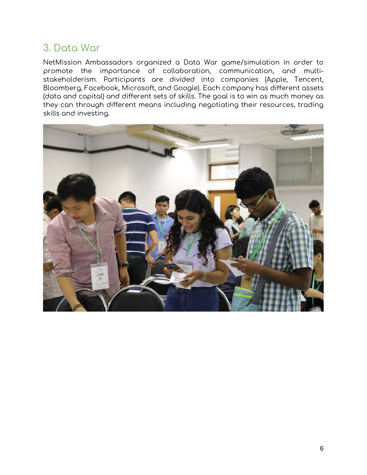#### 3. Data War

NetMission Ambassadors organized a Data War game/simulation in order to promote the importance of collaboration, communication, and multistakeholderism. Participants are divided into companies (Apple, Tencent, Bloomberg, Facebook, Microsoft, and Google). Each company has different assets (data and capital) and different sets of skills. The goal is to win as much money as they can through different means including negotiating their resources, trading skills and investing.

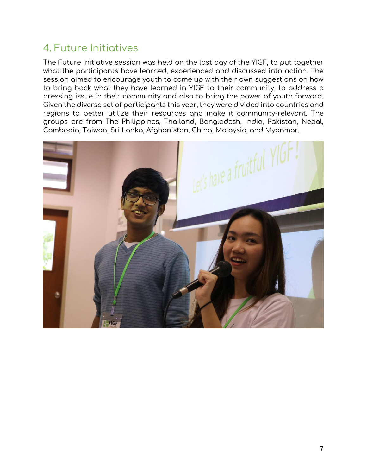#### 4. Future Initiatives

The Future Initiative session was held on the last day of the YIGF, to put together what the participants have learned, experienced and discussed into action. The session aimed to encourage youth to come up with their own suggestions on how to bring back what they have learned in YIGF to their community, to address a pressing issue in their community and also to bring the power of youth forward. Given the diverse set of participants this year, they were divided into countries and regions to better utilize their resources and make it community-relevant. The groups are from The Philippines, Thailand, Bangladesh, India, Pakistan, Nepal, Cambodia, Taiwan, Sri Lanka, Afghanistan, China, Malaysia, and Myanmar.